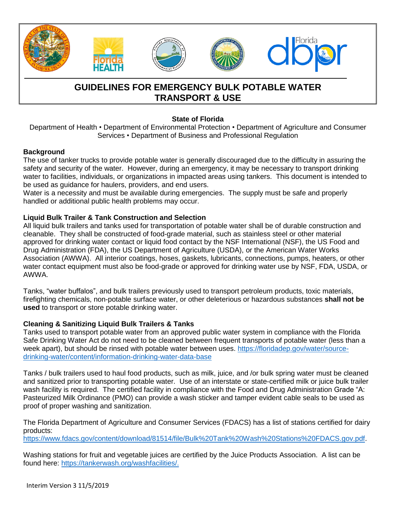

# **GUIDELINES FOR EMERGENCY BULK POTABLE WATER TRANSPORT & USE**

## **State of Florida**

Department of Health • Department of Environmental Protection • Department of Agriculture and Consumer Services • Department of Business and Professional Regulation

#### **Background**

The use of tanker trucks to provide potable water is generally discouraged due to the difficulty in assuring the safety and security of the water. However, during an emergency, it may be necessary to transport drinking water to facilities, individuals, or organizations in impacted areas using tankers. This document is intended to be used as guidance for haulers, providers, and end users.

Water is a necessity and must be available during emergencies. The supply must be safe and properly handled or additional public health problems may occur.

## **Liquid Bulk Trailer & Tank Construction and Selection**

All liquid bulk trailers and tanks used for transportation of potable water shall be of durable construction and cleanable. They shall be constructed of food-grade material, such as stainless steel or other material approved for drinking water contact or liquid food contact by the NSF International (NSF), the US Food and Drug Administration (FDA), the US Department of Agriculture (USDA), or the American Water Works Association (AWWA). All interior coatings, hoses, gaskets, lubricants, connections, pumps, heaters, or other water contact equipment must also be food-grade or approved for drinking water use by NSF, FDA, USDA, or AWWA.

Tanks, "water buffalos", and bulk trailers previously used to transport petroleum products, toxic materials, firefighting chemicals, non-potable surface water, or other deleterious or hazardous substances **shall not be used** to transport or store potable drinking water.

#### **Cleaning & Sanitizing Liquid Bulk Trailers & Tanks**

Tanks used to transport potable water from an approved public water system in compliance with the Florida Safe Drinking Water Act do not need to be cleaned between frequent transports of potable water (less than a week apart), but should be rinsed with potable water between uses. [https://floridadep.gov/water/source](https://floridadep.gov/water/source-drinking-water/content/information-drinking-water-data-base)[drinking-water/content/information-drinking-water-data-base](https://floridadep.gov/water/source-drinking-water/content/information-drinking-water-data-base)

Tanks / bulk trailers used to haul food products, such as milk, juice, and /or bulk spring water must be cleaned and sanitized prior to transporting potable water. Use of an interstate or state-certified milk or juice bulk trailer wash facility is required. The certified facility in compliance with the Food and Drug Administration Grade "A: Pasteurized Milk Ordinance (PMO) can provide a wash sticker and tamper evident cable seals to be used as proof of proper washing and sanitization.

The Florida Department of Agriculture and Consumer Services (FDACS) has a list of stations certified for dairy products:

[https://www.fdacs.gov/content/download/81514/file/Bulk%20Tank%20Wash%20Stations%20FDACS.gov.pdf.](https://www.fdacs.gov/content/download/81514/file/Bulk%20Tank%20Wash%20Stations%20FDACS.gov.pdf)

Washing stations for fruit and vegetable juices are certified by the Juice Products Association. A list can be found here: [https://tankerwash.org/washfacilities/.](https://tankerwash.org/washfacilities/)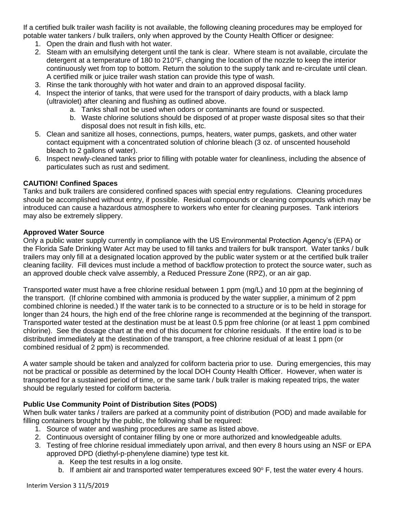If a certified bulk trailer wash facility is not available, the following cleaning procedures may be employed for potable water tankers / bulk trailers, only when approved by the County Health Officer or designee:

- 1. Open the drain and flush with hot water.
- 2. Steam with an emulsifying detergent until the tank is clear. Where steam is not available, circulate the detergent at a temperature of 180 to 210°F, changing the location of the nozzle to keep the interior continuously wet from top to bottom. Return the solution to the supply tank and re-circulate until clean. A certified milk or juice trailer wash station can provide this type of wash.
- 3. Rinse the tank thoroughly with hot water and drain to an approved disposal facility.
- 4. Inspect the interior of tanks, that were used for the transport of dairy products, with a black lamp (ultraviolet) after cleaning and flushing as outlined above.
	- a. Tanks shall not be used when odors or contaminants are found or suspected.
	- b. Waste chlorine solutions should be disposed of at proper waste disposal sites so that their disposal does not result in fish kills, etc.
- 5. Clean and sanitize all hoses, connections, pumps, heaters, water pumps, gaskets, and other water contact equipment with a concentrated solution of chlorine bleach (3 oz. of unscented household bleach to 2 gallons of water).
- 6. Inspect newly-cleaned tanks prior to filling with potable water for cleanliness, including the absence of particulates such as rust and sediment.

## **CAUTION! Confined Spaces**

Tanks and bulk trailers are considered confined spaces with special entry regulations. Cleaning procedures should be accomplished without entry, if possible. Residual compounds or cleaning compounds which may be introduced can cause a hazardous atmosphere to workers who enter for cleaning purposes. Tank interiors may also be extremely slippery.

#### **Approved Water Source**

Only a public water supply currently in compliance with the US Environmental Protection Agency's (EPA) or the Florida Safe Drinking Water Act may be used to fill tanks and trailers for bulk transport. Water tanks / bulk trailers may only fill at a designated location approved by the public water system or at the certified bulk trailer cleaning facility. Fill devices must include a method of backflow protection to protect the source water, such as an approved double check valve assembly, a Reduced Pressure Zone (RPZ), or an air gap.

Transported water must have a free chlorine residual between 1 ppm (mg/L) and 10 ppm at the beginning of the transport. (If chlorine combined with ammonia is produced by the water supplier, a minimum of 2 ppm combined chlorine is needed.) If the water tank is to be connected to a structure or is to be held in storage for longer than 24 hours, the high end of the free chlorine range is recommended at the beginning of the transport. Transported water tested at the destination must be at least 0.5 ppm free chlorine (or at least 1 ppm combined chlorine). See the dosage chart at the end of this document for chlorine residuals. If the entire load is to be distributed immediately at the destination of the transport, a free chlorine residual of at least 1 ppm (or combined residual of 2 ppm) is recommended.

A water sample should be taken and analyzed for coliform bacteria prior to use. During emergencies, this may not be practical or possible as determined by the local DOH County Health Officer. However, when water is transported for a sustained period of time, or the same tank / bulk trailer is making repeated trips, the water should be regularly tested for coliform bacteria.

## **Public Use Community Point of Distribution Sites (PODS)**

When bulk water tanks / trailers are parked at a community point of distribution (POD) and made available for filling containers brought by the public, the following shall be required:

- 1. Source of water and washing procedures are same as listed above.
- 2. Continuous oversight of container filling by one or more authorized and knowledgeable adults.
- 3. Testing of free chlorine residual immediately upon arrival, and then every 8 hours using an NSF or EPA approved DPD (diethyl-p-phenylene diamine) type test kit.
	- a. Keep the test results in a log onsite.
	- b. If ambient air and transported water temperatures exceed  $90^\circ$  F, test the water every 4 hours.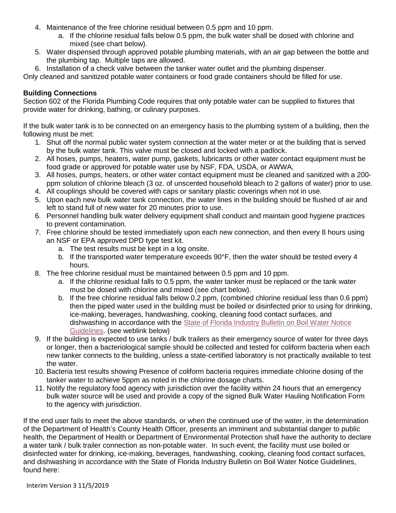- 4. Maintenance of the free chlorine residual between 0.5 ppm and 10 ppm.
	- a. If the chlorine residual falls below 0.5 ppm, the bulk water shall be dosed with chlorine and mixed (see chart below).
- 5. Water dispensed through approved potable plumbing materials, with an air gap between the bottle and the plumbing tap. Multiple taps are allowed.
- 6. Installation of a check valve between the tanker water outlet and the plumbing dispenser.

Only cleaned and sanitized potable water containers or food grade containers should be filled for use.

## **Building Connections**

Section 602 of the Florida Plumbing Code requires that only potable water can be supplied to fixtures that provide water for drinking, bathing, or culinary purposes.

If the bulk water tank is to be connected on an emergency basis to the plumbing system of a building, then the following must be met:

- 1. Shut off the normal public water system connection at the water meter or at the building that is served by the bulk water tank. This valve must be closed and locked with a padlock.
- 2. All hoses, pumps, heaters, water pump, gaskets, lubricants or other water contact equipment must be food grade or approved for potable water use by NSF, FDA, USDA, or AWWA,
- 3. All hoses, pumps, heaters, or other water contact equipment must be cleaned and sanitized with a 200 ppm solution of chlorine bleach (3 oz. of unscented household bleach to 2 gallons of water) prior to use.
- 4. All couplings should be covered with caps or sanitary plastic coverings when not in use.
- 5. Upon each new bulk water tank connection, the water lines in the building should be flushed of air and left to stand full of new water for 20 minutes prior to use.
- 6. Personnel handling bulk water delivery equipment shall conduct and maintain good hygiene practices to prevent contamination.
- 7. Free chlorine should be tested immediately upon each new connection, and then every 8 hours using an NSF or EPA approved DPD type test kit.
	- a. The test results must be kept in a log onsite.
	- b. If the transported water temperature exceeds 90°F, then the water should be tested every 4 hours.
- 8. The free chlorine residual must be maintained between 0.5 ppm and 10 ppm.
	- a. If the chlorine residual falls to 0.5 ppm, the water tanker must be replaced or the tank water must be dosed with chlorine and mixed (see chart below).
	- b. If the free chlorine residual falls below 0.2 ppm, (combined chlorine residual less than 0.6 ppm) then the piped water used in the building must be boiled or disinfected prior to using for drinking, ice-making, beverages, handwashing, cooking, cleaning food contact surfaces, and dishwashing in accordance with the [State of Florida Industry Bulletin on Boil Water Notice](http://www.floridahealth.gov/environmental-health/drinking-water/2019-hurricane-letter-food-bulletin-bwn-guidelines.pdf)  [Guidelines.](http://www.floridahealth.gov/environmental-health/drinking-water/2019-hurricane-letter-food-bulletin-bwn-guidelines.pdf) (see weblink below)
- 9. If the building is expected to use tanks / bulk trailers as their emergency source of water for three days or longer, then a bacteriological sample should be collected and tested for coliform bacteria when each new tanker connects to the building, unless a state-certified laboratory is not practically available to test the water.
- 10. Bacteria test results showing Presence of coliform bacteria requires immediate chlorine dosing of the tanker water to achieve 5ppm as noted in the chlorine dosage charts.
- 11. Notify the regulatory food agency with jurisdiction over the facility within 24 hours that an emergency bulk water source will be used and provide a copy of the signed Bulk Water Hauling Notification Form to the agency with jurisdiction.

If the end user fails to meet the above standards, or when the continued use of the water, in the determination of the Department of Health's County Health Officer, presents an imminent and substantial danger to public health, the Department of Health or Department of Environmental Protection shall have the authority to declare a water tank / bulk trailer connection as non-potable water. In such event, the facility must use boiled or disinfected water for drinking, ice-making, beverages, handwashing, cooking, cleaning food contact surfaces, and dishwashing in accordance with the State of Florida Industry Bulletin on Boil Water Notice Guidelines, found here: